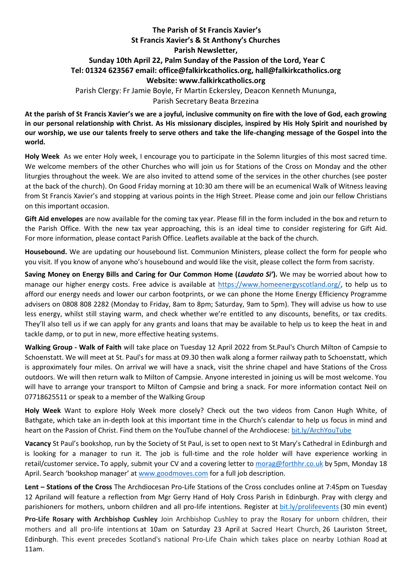## **The Parish of St Francis Xavier's St Francis Xavier's & St Anthony's Churches Parish Newsletter, Sunday 10th April 22, Palm Sunday of the Passion of the Lord, Year C Tel: 01324 623567 email: office@falkirkcatholics.org, [hall@falkirkcatholics.org](mailto:hall@falkirkcatholics.org) Website: [www.falkirkcatholics.org](http://www.falkirkcatholics.org/)**  Parish Clergy: Fr Jamie Boyle, Fr Martin Eckersley, Deacon Kenneth Mununga, Parish Secretary Beata Brzezina

**At the parish of St Francis Xavier's we are a joyful, inclusive community on fire with the love of God, each growing in our personal relationship with Christ. As His missionary disciples, inspired by His Holy Spirit and nourished by our worship, we use our talents freely to serve others and take the life-changing message of the Gospel into the world.** 

**Holy Week** As we enter Holy week, I encourage you to participate in the Solemn liturgies of this most sacred time. We welcome members of the other Churches who will join us for Stations of the Cross on Monday and the other liturgies throughout the week. We are also invited to attend some of the services in the other churches (see poster at the back of the church). On Good Friday morning at 10:30 am there will be an ecumenical Walk of Witness leaving from St Francis Xavier's and stopping at various points in the High Street. Please come and join our fellow Christians on this important occasion.

**Gift Aid envelopes** are now available for the coming tax year. Please fill in the form included in the box and return to the Parish Office. With the new tax year approaching, this is an ideal time to consider registering for Gift Aid. For more information, please contact Parish Office. Leaflets available at the back of the church.

**Housebound.** We are updating our housebound list. Communion Ministers, please collect the form for people who you visit. If you know of anyone who's housebound and would like the visit, please collect the form from sacristy.

**Saving Money on Energy Bills and Caring for Our Common Home (***Laudato Si'***).** We may be worried about how to manage our higher energy costs. Free advice is available at [https://www.homeenergyscotland.org/,](https://www.homeenergyscotland.org/) to help us to afford our energy needs and lower our carbon footprints, or we can phone the Home Energy Efficiency Programme advisers on 0808 808 2282 (Monday to Friday, 8am to 8pm; Saturday, 9am to 5pm). They will advise us how to use less energy, whilst still staying warm, and check whether we're entitled to any discounts, benefits, or tax credits. They'll also tell us if we can apply for any grants and loans that may be available to help us to keep the heat in and tackle damp, or to put in new, more effective heating systems.

**Walking Group - Walk of Faith** will take place on Tuesday 12 April 2022 from St.Paul's Church Milton of Campsie to Schoenstatt. We will meet at St. Paul's for mass at 09.30 then walk along a former railway path to Schoenstatt, which is approximately four miles. On arrival we will have a snack, visit the shrine chapel and have Stations of the Cross outdoors. We will then return walk to Milton of Campsie. Anyone interested in joining us will be most welcome. You will have to arrange your transport to Milton of Campsie and bring a snack. For more information contact Neil on 07718625511 or speak to a member of the Walking Group

**Holy Week** Want to explore Holy Week more closely? Check out the two videos from Canon Hugh White, of Bathgate, which take an in-depth look at this important time in the Church's calendar to help us focus in mind and heart on the Passion of Christ. Find them on the YouTube channel of the Archdiocese: [bit.ly/ArchYouTube](https://www.youtube.com/channel/UCpeWTFr87oQNpdWGgv_G9bw/videos)

**Vacancy** St Paul's bookshop, run by the Society of St Paul, is set to open next to St Mary's Cathedral in Edinburgh and is looking for a manager to run it. The job is full-time and the role holder will have experience working in retail/customer service**.** To apply, submit your CV and a covering letter to [morag@forthhr.co.uk](https://mailto:morag@forthhr.co.uk/) by 5pm, Monday 18 April. Search 'bookshop manager' at [www.goodmoves.com](http://www.goodmoves.com/) for a full job description.

**Lent – Stations of the Cross** The Archdiocesan Pro-Life Stations of the Cross concludes online at 7:45pm on Tuesday 12 Apriland will feature a reflection from Mgr Gerry Hand of Holy Cross Parish in Edinburgh. Pray with clergy and parishioners for mothers, unborn children and all pro-life intentions. Register at [bit.ly/prolifeevents](https://www.eventbrite.co.uk/cc/pro-life-events-150559) (30 min event)

**Pro-Life Rosary with Archbishop Cushley** Join Archbishop Cushley to pray the Rosary for unborn children, their mothers and all pro-life intentions at 10am on Saturday 23 April at Sacred Heart Church, 26 Lauriston Street, Edinburgh. This event precedes Scotland's national Pro-Life Chain which takes place on nearby Lothian Road at 11am.